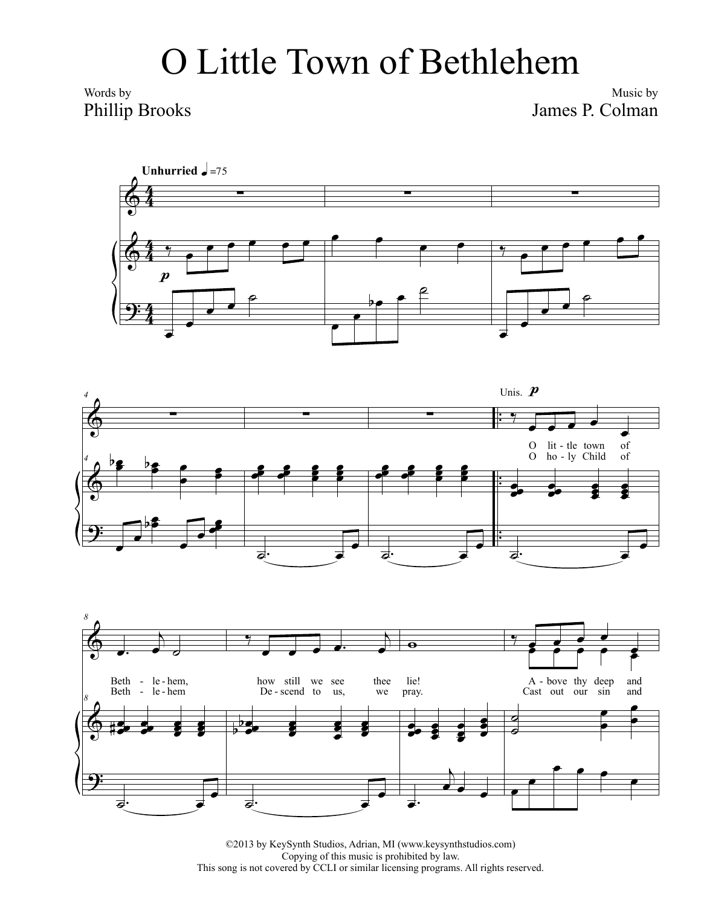## O Little Town of Bethlehem

Words by Phillip Brooks

Music by James P. Colman







©2013 by KeySynth Studios, Adrian, MI (www.keysynthstudios.com) Copying of this music is prohibited by law. This song is not covered by CCLI or similar licensing programs. All rights reserved.